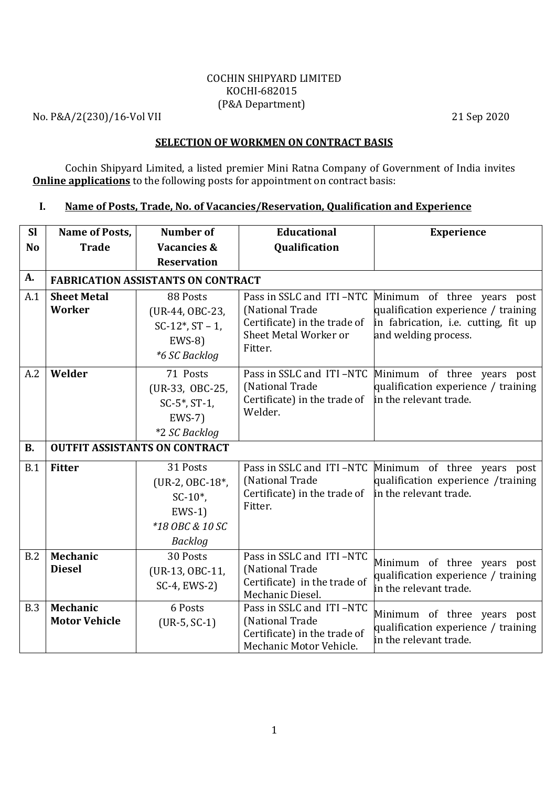### COCHIN SHIPYARD LIMITED KOCHI-682015 (P&A Department)

No. P&A/2(230)/16-Vol VII 21 Sep 2020

### SELECTION OF WORKMEN ON CONTRACT BASIS

Cochin Shipyard Limited, a listed premier Mini Ratna Company of Government of India invites **Online applications** to the following posts for appointment on contract basis:

# I. Name of Posts, Trade, No. of Vacancies/Reservation, Qualification and Experience

| <b>Sl</b>      | Name of Posts,                            | Number of                                                                                  | <b>Educational</b>                                                                                              | <b>Experience</b>                                                                                                                  |
|----------------|-------------------------------------------|--------------------------------------------------------------------------------------------|-----------------------------------------------------------------------------------------------------------------|------------------------------------------------------------------------------------------------------------------------------------|
| N <sub>o</sub> | <b>Trade</b>                              | <b>Vacancies &amp;</b>                                                                     | Qualification                                                                                                   |                                                                                                                                    |
|                |                                           | <b>Reservation</b>                                                                         |                                                                                                                 |                                                                                                                                    |
| A.             | <b>FABRICATION ASSISTANTS ON CONTRACT</b> |                                                                                            |                                                                                                                 |                                                                                                                                    |
| A.1            | <b>Sheet Metal</b><br>Worker              | 88 Posts<br>(UR-44, OBC-23,<br>$SC-12^*$ , $ST-1$ ,<br>$EWS-8$<br>*6 SC Backlog            | Pass in SSLC and ITI-NTC<br>(National Trade<br>Certificate) in the trade of<br>Sheet Metal Worker or<br>Fitter. | Minimum of three years post<br>qualification experience / training<br>in fabrication, i.e. cutting, fit up<br>and welding process. |
| A.2            | Welder                                    | 71 Posts<br>(UR-33, OBC-25,<br>$SC-5^*$ , $ST-1$ ,<br>$EWS-7$<br>*2 SC Backlog             | Pass in SSLC and ITI-NTC<br>(National Trade<br>Certificate) in the trade of<br>Welder.                          | Minimum of three years<br>post<br>qualification experience / training<br>in the relevant trade.                                    |
| <b>B.</b>      |                                           | <b>OUTFIT ASSISTANTS ON CONTRACT</b>                                                       |                                                                                                                 |                                                                                                                                    |
| B.1            | <b>Fitter</b>                             | 31 Posts<br>(UR-2, OBC-18*,<br>$SC-10^*$ ,<br>$EWS-1$<br>*18 OBC & 10 SC<br><b>Backlog</b> | Pass in SSLC and ITI-NTC<br>(National Trade<br>Certificate) in the trade of<br>Fitter.                          | Minimum of three years post<br>qualification experience /training<br>in the relevant trade.                                        |
| B.2            | Mechanic<br><b>Diesel</b>                 | 30 Posts<br>(UR-13, OBC-11,<br>SC-4, EWS-2)                                                | Pass in SSLC and ITI-NTC<br>(National Trade<br>Certificate) in the trade of<br>Mechanic Diesel.                 | Minimum of three years post<br>qualification experience / training<br>in the relevant trade.                                       |
| B.3            | Mechanic<br><b>Motor Vehicle</b>          | 6 Posts<br>$(UR-5, SC-1)$                                                                  | Pass in SSLC and ITI-NTC<br>(National Trade<br>Certificate) in the trade of<br>Mechanic Motor Vehicle.          | Minimum of three years post<br>qualification experience / training<br>in the relevant trade.                                       |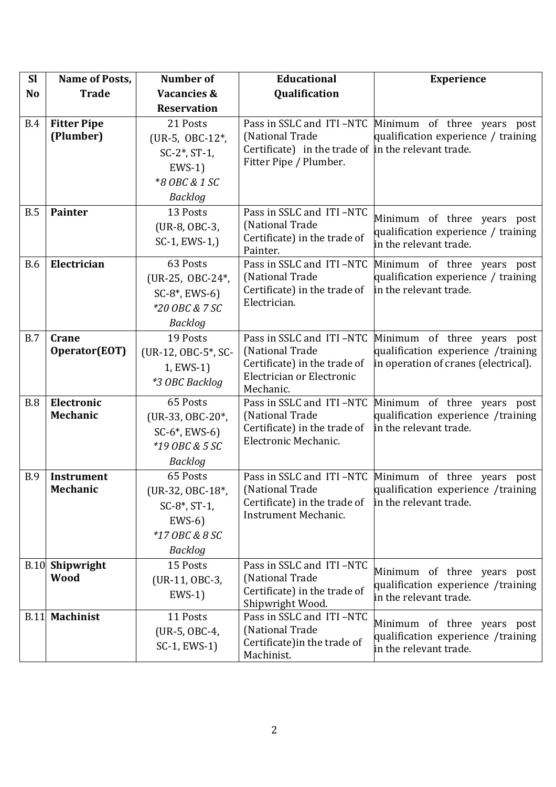| <b>Sl</b>      | Name of Posts,         | Number of              | <b>Educational</b>                                              | <b>Experience</b>                                                 |
|----------------|------------------------|------------------------|-----------------------------------------------------------------|-------------------------------------------------------------------|
| N <sub>o</sub> | <b>Trade</b>           | <b>Vacancies &amp;</b> | Qualification                                                   |                                                                   |
|                |                        | <b>Reservation</b>     |                                                                 |                                                                   |
| <b>B.4</b>     | <b>Fitter Pipe</b>     | 21 Posts               | Pass in SSLC and ITI-NTC                                        | Minimum of three years post                                       |
|                | (Plumber)              | (UR-5, OBC-12*,        | (National Trade                                                 | qualification experience / training                               |
|                |                        | $SC-2^*$ , $ST-1$ ,    | Certificate) in the trade of $\parallel$ in the relevant trade. |                                                                   |
|                |                        | $EWS-1$                | Fitter Pipe / Plumber.                                          |                                                                   |
|                |                        | *8 OBC & 1 SC          |                                                                 |                                                                   |
|                |                        | <b>Backlog</b>         |                                                                 |                                                                   |
| B.5            | <b>Painter</b>         | 13 Posts               | Pass in SSLC and ITI-NTC                                        | Minimum of three years post                                       |
|                |                        | (UR-8, OBC-3,          | (National Trade                                                 | qualification experience / training                               |
|                |                        | $SC-1$ , $EWS-1$ .)    | Certificate) in the trade of                                    | in the relevant trade.                                            |
| <b>B.6</b>     | Electrician            | 63 Posts               | Painter.<br>Pass in SSLC and ITI-NTC                            | Minimum of three years post                                       |
|                |                        | (UR-25, OBC-24*,       | (National Trade                                                 | qualification experience / training                               |
|                |                        | $SC-8^*$ , EWS-6)      | Certificate) in the trade of                                    | in the relevant trade.                                            |
|                |                        | *20 OBC & 7 SC         | Electrician.                                                    |                                                                   |
|                |                        | Backlog                |                                                                 |                                                                   |
| B.7            | <b>Crane</b>           | 19 Posts               | Pass in SSLC and ITI-NTC                                        | Minimum of three years post                                       |
|                | Operator(EOT)          | (UR-12, OBC-5*, SC-    | (National Trade                                                 | qualification experience /training                                |
|                |                        | 1, EWS-1)              | Certificate) in the trade of                                    | in operation of cranes (electrical).                              |
|                |                        | *3 OBC Backlog         | Electrician or Electronic                                       |                                                                   |
|                |                        |                        | Mechanic.                                                       |                                                                   |
| <b>B.8</b>     | Electronic             | 65 Posts               | Pass in SSLC and ITI-NTC                                        | Minimum of three years post                                       |
|                | Mechanic               | (UR-33, OBC-20*,       | (National Trade<br>Certificate) in the trade of                 | qualification experience /training<br>in the relevant trade.      |
|                |                        | $SC-6^*$ , EWS-6)      | Electronic Mechanic.                                            |                                                                   |
|                |                        | *19 OBC & 5 SC         |                                                                 |                                                                   |
|                |                        | <b>Backlog</b>         |                                                                 |                                                                   |
| <b>B.9</b>     | <b>Instrument</b>      | 65 Posts               |                                                                 | Pass in SSLC and ITI-NTC Minimum of three years post              |
|                | Mechanic               | $(UR-32, OBC-18^*)$    | (National Trade<br>Certificate) in the trade of                 | qualification experience /training<br>in the relevant trade.      |
|                |                        | $SC-8^*$ , $ST-1$ ,    | Instrument Mechanic.                                            |                                                                   |
|                |                        | $EWS-6$                |                                                                 |                                                                   |
|                |                        | *17 OBC & 8 SC         |                                                                 |                                                                   |
|                |                        | Backlog                |                                                                 |                                                                   |
|                | <b>B.10</b> Shipwright | 15 Posts               | Pass in SSLC and ITI-NTC                                        | Minimum of three years post                                       |
|                | <b>Wood</b>            | (UR-11, OBC-3,         | (National Trade<br>Certificate) in the trade of                 | qualification experience /training                                |
|                |                        | $EWS-1$                | Shipwright Wood.                                                | in the relevant trade.                                            |
|                | <b>B.11 Machinist</b>  | 11 Posts               | Pass in SSLC and ITI-NTC                                        |                                                                   |
|                |                        | (UR-5, OBC-4,          | (National Trade                                                 | Minimum of three years post<br>qualification experience /training |
|                |                        | SC-1, EWS-1)           | Certificate) in the trade of                                    | in the relevant trade.                                            |
|                |                        |                        | Machinist.                                                      |                                                                   |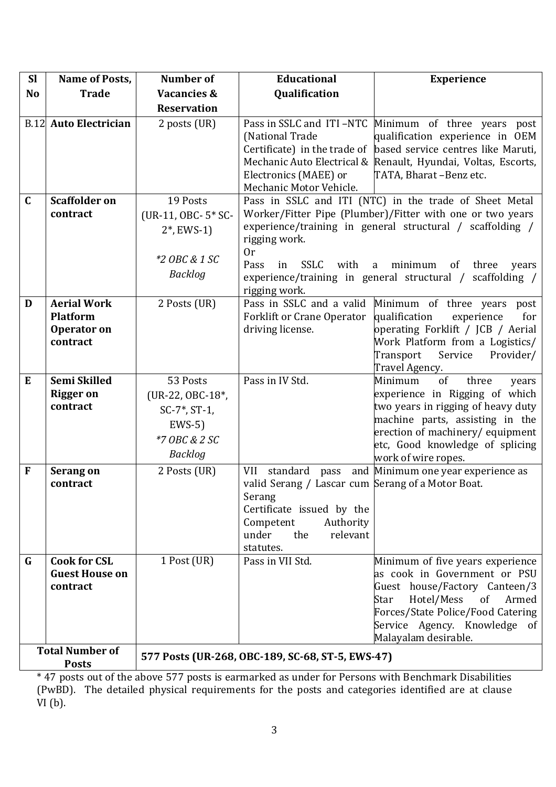| <b>Sl</b>              | <b>Name of Posts,</b>            | <b>Number of</b>               | Educational                                                                | <b>Experience</b>                                                                                                                                                                                                                                     |  |
|------------------------|----------------------------------|--------------------------------|----------------------------------------------------------------------------|-------------------------------------------------------------------------------------------------------------------------------------------------------------------------------------------------------------------------------------------------------|--|
| <b>No</b>              | <b>Trade</b>                     | <b>Vacancies &amp;</b>         | Qualification                                                              |                                                                                                                                                                                                                                                       |  |
|                        |                                  | <b>Reservation</b>             |                                                                            |                                                                                                                                                                                                                                                       |  |
|                        | <b>B.12 Auto Electrician</b>     | 2 posts (UR)                   | (National Trade<br>Electronics (MAEE) or<br>Mechanic Motor Vehicle.        | Pass in SSLC and ITI-NTC Minimum of three years post<br>qualification experience in OEM<br>Certificate) in the trade of based service centres like Maruti,<br>Mechanic Auto Electrical & Renault, Hyundai, Voltas, Escorts,<br>TATA, Bharat-Benz etc. |  |
| $\mathbf{C}$           | <b>Scaffolder on</b>             | 19 Posts                       |                                                                            | Pass in SSLC and ITI (NTC) in the trade of Sheet Metal                                                                                                                                                                                                |  |
|                        | contract                         | (UR-11, OBC- 5* SC-            |                                                                            | Worker/Fitter Pipe (Plumber)/Fitter with one or two years                                                                                                                                                                                             |  |
|                        |                                  | $2^*$ , EWS-1)                 | experience/training in general structural / scaffolding /<br>rigging work. |                                                                                                                                                                                                                                                       |  |
|                        |                                  |                                | 0r                                                                         |                                                                                                                                                                                                                                                       |  |
|                        |                                  | *2 OBC & 1 SC                  | <b>SSLC</b><br>Pass<br>with<br>in                                          | minimum<br>three<br>a<br><sub>of</sub><br>years                                                                                                                                                                                                       |  |
|                        |                                  | Backlog                        |                                                                            | experience/training in general structural /<br>scaffolding /                                                                                                                                                                                          |  |
| D                      | <b>Aerial Work</b>               |                                | rigging work.                                                              |                                                                                                                                                                                                                                                       |  |
|                        | <b>Platform</b>                  | 2 Posts (UR)                   | Pass in SSLC and a valid<br><b>Forklift or Crane Operator</b>              | Minimum of three years<br>post<br>qualification<br>experience<br>for                                                                                                                                                                                  |  |
|                        | Operator on                      |                                | driving license.                                                           | operating Forklift / JCB / Aerial                                                                                                                                                                                                                     |  |
|                        | contract                         |                                |                                                                            | Work Platform from a Logistics/                                                                                                                                                                                                                       |  |
|                        |                                  |                                |                                                                            | Transport<br>Service<br>Provider/                                                                                                                                                                                                                     |  |
|                        |                                  |                                |                                                                            | Travel Agency.                                                                                                                                                                                                                                        |  |
| E                      | Semi Skilled<br><b>Rigger</b> on | 53 Posts                       | Pass in IV Std.                                                            | of<br>Minimum<br>three<br>years<br>experience in Rigging of which                                                                                                                                                                                     |  |
|                        | contract                         | (UR-22, OBC-18*,               |                                                                            | two years in rigging of heavy duty                                                                                                                                                                                                                    |  |
|                        |                                  | $SC-7^*$ , $ST-1$ ,<br>$EWS-5$ |                                                                            | machine parts, assisting in the                                                                                                                                                                                                                       |  |
|                        |                                  | *7 OBC & 2 SC                  |                                                                            | erection of machinery/equipment                                                                                                                                                                                                                       |  |
|                        |                                  | Backlog                        |                                                                            | etc, Good knowledge of splicing                                                                                                                                                                                                                       |  |
| $\mathbf F$            |                                  |                                | standard pass                                                              | work of wire ropes.                                                                                                                                                                                                                                   |  |
|                        | <b>Serang on</b><br>contract     | 2 Posts (UR)                   | VII<br>valid Serang / Lascar cum Serang of a Motor Boat.                   | and Minimum one year experience as                                                                                                                                                                                                                    |  |
|                        |                                  |                                | Serang                                                                     |                                                                                                                                                                                                                                                       |  |
|                        |                                  |                                | Certificate issued by the                                                  |                                                                                                                                                                                                                                                       |  |
|                        |                                  |                                | Competent<br>Authority                                                     |                                                                                                                                                                                                                                                       |  |
|                        |                                  |                                | under<br>the<br>relevant<br>statutes.                                      |                                                                                                                                                                                                                                                       |  |
| G                      | <b>Cook for CSL</b>              | 1 Post (UR)                    | Pass in VII Std.                                                           | Minimum of five years experience                                                                                                                                                                                                                      |  |
|                        | <b>Guest House on</b>            |                                |                                                                            | as cook in Government or PSU                                                                                                                                                                                                                          |  |
|                        | contract                         |                                |                                                                            | Guest house/Factory Canteen/3                                                                                                                                                                                                                         |  |
|                        |                                  |                                |                                                                            | Hotel/Mess<br>of<br>Armed<br>Star                                                                                                                                                                                                                     |  |
|                        |                                  |                                |                                                                            | Forces/State Police/Food Catering<br>Service Agency. Knowledge of                                                                                                                                                                                     |  |
|                        |                                  |                                |                                                                            | Malayalam desirable.                                                                                                                                                                                                                                  |  |
| <b>Total Number of</b> |                                  |                                |                                                                            |                                                                                                                                                                                                                                                       |  |
| <b>Posts</b>           |                                  |                                | 577 Posts (UR-268, OBC-189, SC-68, ST-5, EWS-47)                           |                                                                                                                                                                                                                                                       |  |

\* 47 posts out of the above 577 posts is earmarked as under for Persons with Benchmark Disabilities (PwBD). The detailed physical requirements for the posts and categories identified are at clause  $\overline{VI}$  (b).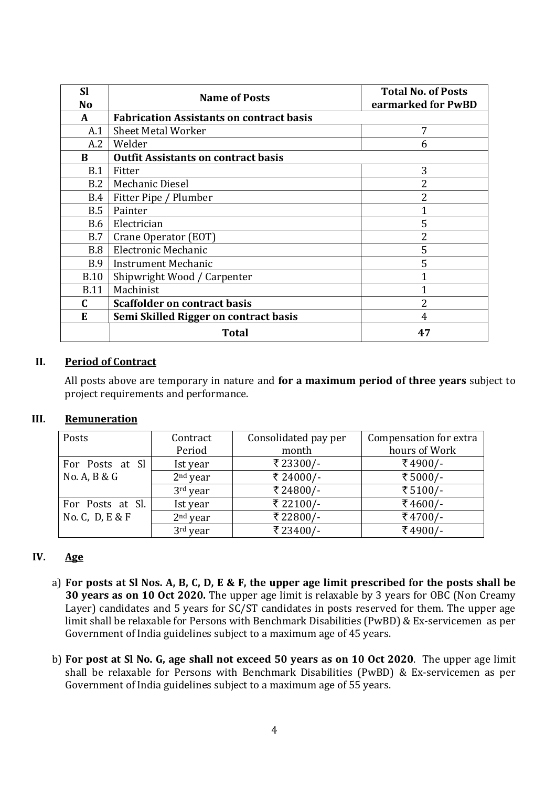| <b>Sl</b><br>No | <b>Name of Posts</b>                            | <b>Total No. of Posts</b><br>earmarked for PwBD |
|-----------------|-------------------------------------------------|-------------------------------------------------|
| A               | <b>Fabrication Assistants on contract basis</b> |                                                 |
| A.1             | <b>Sheet Metal Worker</b>                       | 7                                               |
| A.2             | Welder                                          | 6                                               |
| B               | <b>Outfit Assistants on contract basis</b>      |                                                 |
| B.1             | Fitter                                          | 3                                               |
| B.2             | Mechanic Diesel                                 | 2                                               |
| <b>B.4</b>      | Fitter Pipe / Plumber                           | 2                                               |
| B.5             | Painter                                         |                                                 |
| <b>B.6</b>      | Electrician                                     | 5                                               |
| B.7             | Crane Operator (EOT)                            | 2                                               |
| B.8             | Electronic Mechanic                             | 5                                               |
| B.9             | <b>Instrument Mechanic</b>                      | 5                                               |
| <b>B.10</b>     | Shipwright Wood / Carpenter                     |                                                 |
| <b>B.11</b>     | Machinist                                       |                                                 |
| C.              | <b>Scaffolder on contract basis</b>             | 2                                               |
| E               | Semi Skilled Rigger on contract basis           | 4                                               |
|                 | <b>Total</b>                                    | 47                                              |

### II. Period of Contract

All posts above are temporary in nature and for a maximum period of three years subject to project requirements and performance.

### III. Remuneration

| Posts                | Contract   | Consolidated pay per | Compensation for extra |
|----------------------|------------|----------------------|------------------------|
|                      | Period     | month                | hours of Work          |
| For Posts at Sl      | Ist year   | ₹23300/-             | ₹4900/-                |
| No. A, B & G         | $2nd$ year | ₹ 24000/-            | ₹5000/-                |
|                      | $3rd$ year | ₹24800/-             | ₹5100/-                |
| For Posts at Sl.     | Ist year   | ₹ 22100/-            | ₹4600/-                |
| No. C, $D$ , $E & F$ | $2nd$ year | ₹22800/-             | ₹4700/-                |
|                      | 3rd year   | ₹23400/-             | ₹4900/-                |

### IV. Age

- a) For posts at Sl Nos. A, B, C, D, E & F, the upper age limit prescribed for the posts shall be 30 years as on 10 Oct 2020. The upper age limit is relaxable by 3 years for OBC (Non Creamy Layer) candidates and 5 years for SC/ST candidates in posts reserved for them. The upper age limit shall be relaxable for Persons with Benchmark Disabilities (PwBD) & Ex-servicemen as per Government of India guidelines subject to a maximum age of 45 years.
- b) For post at Sl No. G, age shall not exceed 50 years as on 10 Oct 2020. The upper age limit shall be relaxable for Persons with Benchmark Disabilities (PwBD) & Ex-servicemen as per Government of India guidelines subject to a maximum age of 55 years.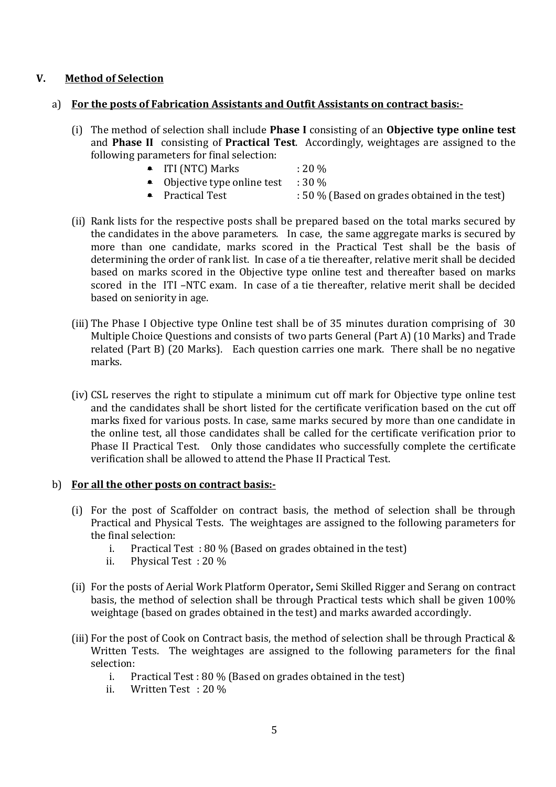### V. Method of Selection

### a) For the posts of Fabrication Assistants and Outfit Assistants on contract basis:-

- (i) The method of selection shall include Phase I consisting of an Objective type online test and Phase II consisting of Practical Test. Accordingly, weightages are assigned to the following parameters for final selection:
	- ITI (NTC) Marks  $: 20\%$
	- Objective type online test  $\therefore$  30 %
	- Practical Test : 50 % (Based on grades obtained in the test)
- (ii) Rank lists for the respective posts shall be prepared based on the total marks secured by the candidates in the above parameters. In case, the same aggregate marks is secured by more than one candidate, marks scored in the Practical Test shall be the basis of determining the order of rank list. In case of a tie thereafter, relative merit shall be decided based on marks scored in the Objective type online test and thereafter based on marks scored in the ITI –NTC exam. In case of a tie thereafter, relative merit shall be decided based on seniority in age.
- (iii) The Phase I Objective type Online test shall be of 35 minutes duration comprising of 30 Multiple Choice Questions and consists of two parts General (Part A) (10 Marks) and Trade related (Part B) (20 Marks). Each question carries one mark. There shall be no negative marks.
- (iv) CSL reserves the right to stipulate a minimum cut off mark for Objective type online test and the candidates shall be short listed for the certificate verification based on the cut off marks fixed for various posts. In case, same marks secured by more than one candidate in the online test, all those candidates shall be called for the certificate verification prior to Phase II Practical Test. Only those candidates who successfully complete the certificate verification shall be allowed to attend the Phase II Practical Test.

### b) For all the other posts on contract basis:-

- (i) For the post of Scaffolder on contract basis, the method of selection shall be through Practical and Physical Tests. The weightages are assigned to the following parameters for the final selection:
	- i. Practical Test : 80 % (Based on grades obtained in the test)
	- ii. Physical Test : 20 %
- (ii) For the posts of Aerial Work Platform Operator, Semi Skilled Rigger and Serang on contract basis, the method of selection shall be through Practical tests which shall be given 100% weightage (based on grades obtained in the test) and marks awarded accordingly.
- (iii) For the post of Cook on Contract basis, the method of selection shall be through Practical & Written Tests. The weightages are assigned to the following parameters for the final selection:
	- i. Practical Test : 80 % (Based on grades obtained in the test)
	- ii. Written Test : 20 %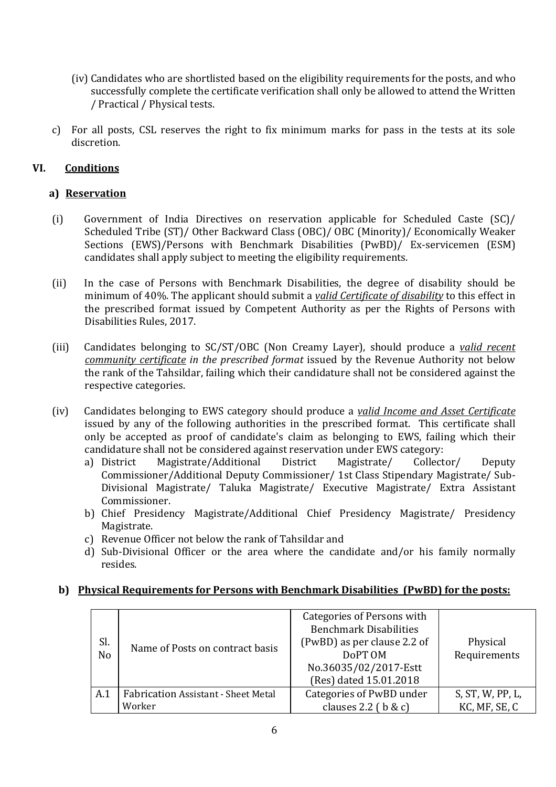- (iv) Candidates who are shortlisted based on the eligibility requirements for the posts, and who successfully complete the certificate verification shall only be allowed to attend the Written / Practical / Physical tests.
- c) For all posts, CSL reserves the right to fix minimum marks for pass in the tests at its sole discretion.

# VI. Conditions

# a) Reservation

- (i) Government of India Directives on reservation applicable for Scheduled Caste (SC)/ Scheduled Tribe (ST)/ Other Backward Class (OBC)/ OBC (Minority)/ Economically Weaker Sections (EWS)/Persons with Benchmark Disabilities (PwBD)/ Ex-servicemen (ESM) candidates shall apply subject to meeting the eligibility requirements.
- (ii) In the case of Persons with Benchmark Disabilities, the degree of disability should be minimum of 40%. The applicant should submit a *valid Certificate of disability* to this effect in the prescribed format issued by Competent Authority as per the Rights of Persons with Disabilities Rules, 2017.
- (iii) Candidates belonging to SC/ST/OBC (Non Creamy Layer), should produce a valid recent community certificate in the prescribed format issued by the Revenue Authority not below the rank of the Tahsildar, failing which their candidature shall not be considered against the respective categories.
- (iv) Candidates belonging to EWS category should produce a valid Income and Asset Certificate issued by any of the following authorities in the prescribed format. This certificate shall only be accepted as proof of candidate's claim as belonging to EWS, failing which their candidature shall not be considered against reservation under EWS category:<br>a) District Magistrate/Additional District Magistrate/ Collect
	- a) District Magistrate/Additional District Magistrate/ Collector/ Deputy Commissioner/Additional Deputy Commissioner/ 1st Class Stipendary Magistrate/ Sub-Divisional Magistrate/ Taluka Magistrate/ Executive Magistrate/ Extra Assistant Commissioner.
	- b) Chief Presidency Magistrate/Additional Chief Presidency Magistrate/ Presidency Magistrate.
	- c) Revenue Officer not below the rank of Tahsildar and
	- d) Sub-Divisional Officer or the area where the candidate and/or his family normally resides.

## b) Physical Requirements for Persons with Benchmark Disabilities (PwBD) for the posts:

| Sl.<br>N <sub>o</sub> | Name of Posts on contract basis            | Categories of Persons with<br><b>Benchmark Disabilities</b><br>(PwBD) as per clause 2.2 of<br>DoPT OM<br>No.36035/02/2017-Estt<br>(Res) dated 15.01.2018 | Physical<br>Requirements |
|-----------------------|--------------------------------------------|----------------------------------------------------------------------------------------------------------------------------------------------------------|--------------------------|
| A.1                   | <b>Fabrication Assistant - Sheet Metal</b> | Categories of PwBD under                                                                                                                                 | S, ST, W, PP, L,         |
|                       | Worker                                     | clauses 2.2 ( $\mathbf b \& \mathbf c$ )                                                                                                                 | KC, MF, SE, C            |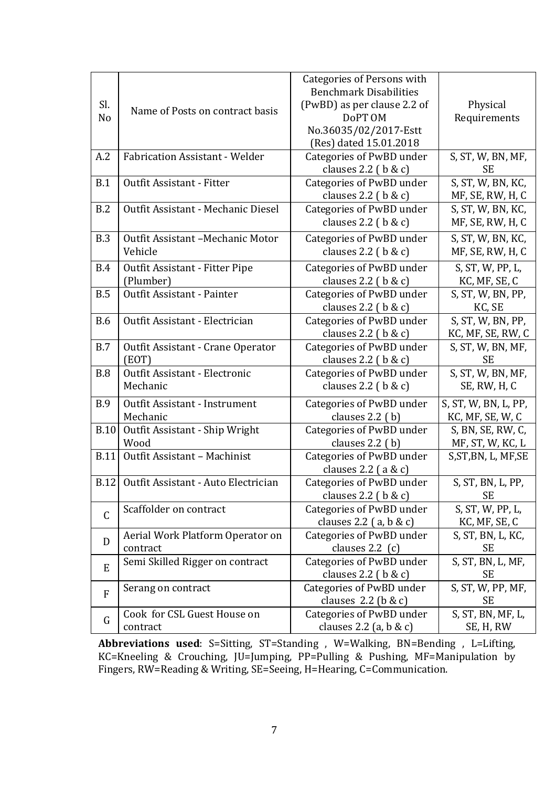|                |                                          | <b>Categories of Persons with</b>          |                      |
|----------------|------------------------------------------|--------------------------------------------|----------------------|
|                |                                          | <b>Benchmark Disabilities</b>              |                      |
| Sl.            |                                          | (PwBD) as per clause 2.2 of                | Physical             |
| N <sub>0</sub> | Name of Posts on contract basis          | DoPT OM                                    | Requirements         |
|                |                                          | No.36035/02/2017-Estt                      |                      |
|                |                                          | (Res) dated 15.01.2018                     |                      |
| A.2            | <b>Fabrication Assistant - Welder</b>    | Categories of PwBD under                   | S, ST, W, BN, MF,    |
|                |                                          | clauses $2.2$ ( $b & c$ )                  | <b>SE</b>            |
| B.1            | Outfit Assistant - Fitter                | Categories of PwBD under                   | S, ST, W, BN, KC,    |
|                |                                          | clauses $2.2$ ( $b & c$ )                  | MF, SE, RW, H, C     |
| B.2            | Outfit Assistant - Mechanic Diesel       | Categories of PwBD under                   | S, ST, W, BN, KC,    |
|                |                                          | clauses $2.2$ ( $b & c$ )                  | MF, SE, RW, H, C     |
| B.3            | Outfit Assistant -Mechanic Motor         | Categories of PwBD under                   | S, ST, W, BN, KC,    |
|                | Vehicle                                  | clauses $2.2$ ( $b & c$ )                  | MF, SE, RW, H, C     |
| B.4            | Outfit Assistant - Fitter Pipe           | Categories of PwBD under                   | S, ST, W, PP, L,     |
|                | (Plumber)                                | clauses $2.2$ ( $b & c$ )                  | KC, MF, SE, C        |
| B.5            | Outfit Assistant - Painter               | Categories of PwBD under                   | S, ST, W, BN, PP,    |
|                |                                          | clauses $2.2$ ( $b & c$ )                  | KC, SE               |
| <b>B.6</b>     | Outfit Assistant - Electrician           | Categories of PwBD under                   | S, ST, W, BN, PP,    |
|                |                                          | clauses $2.2$ ( $b & c$ )                  | KC, MF, SE, RW, C    |
| B.7            | Outfit Assistant - Crane Operator        | Categories of PwBD under                   | S, ST, W, BN, MF,    |
|                | EOT                                      | clauses $2.2$ ( $b & c$ )                  | SE                   |
| <b>B.8</b>     | Outfit Assistant - Electronic            | Categories of PwBD under                   | S, ST, W, BN, MF,    |
|                | Mechanic                                 | clauses 2.2 ( $\mathbf{b} \& \mathbf{c}$ ) | SE, RW, H, C         |
| <b>B.9</b>     | Outfit Assistant - Instrument            | Categories of PwBD under                   | S, ST, W, BN, L, PP, |
|                | Mechanic                                 | clauses 2.2 (b)                            | KC, MF, SE, W, C     |
| <b>B.10</b>    | Outfit Assistant - Ship Wright           | Categories of PwBD under                   | S, BN, SE, RW, C,    |
|                | Wood                                     | clauses $2.2$ (b)                          | MF, ST, W, KC, L     |
| <b>B.11</b>    | Outfit Assistant - Machinist             | Categories of PwBD under                   | S, ST, BN, L, MF, SE |
|                |                                          | clauses $2.2$ (a & c)                      |                      |
|                | B.12 Outfit Assistant - Auto Electrician | Categories of PwBD under                   | S, ST, BN, L, PP,    |
|                |                                          | clauses $2.2$ ( $b & c$ )                  | <b>SE</b>            |
| C              | Scaffolder on contract                   | Categories of PwBD under                   | S, ST, W, PP, L,     |
|                |                                          | clauses 2.2 $(a, b & c)$                   | KC, MF, SE, C        |
| D              | Aerial Work Platform Operator on         | Categories of PwBD under                   | S, ST, BN, L, KC,    |
|                | contract                                 | clauses $2.2$ (c)                          | SE                   |
| E              | Semi Skilled Rigger on contract          | Categories of PwBD under                   | S, ST, BN, L, MF,    |
|                |                                          | clauses $2.2$ ( $b & c$ )                  | SE                   |
| $\mathbf{F}$   | Serang on contract                       | Categories of PwBD under                   | S, ST, W, PP, MF,    |
|                |                                          | clauses $2.2$ (b & c)                      | SE                   |
| G              | Cook for CSL Guest House on              | Categories of PwBD under                   | S, ST, BN, MF, L,    |
|                | contract                                 | clauses 2.2 (a, $b & c$ )                  | SE, H, RW            |

Abbreviations used: S=Sitting, ST=Standing, W=Walking, BN=Bending, L=Lifting, KC=Kneeling & Crouching, JU=Jumping, PP=Pulling & Pushing, MF=Manipulation by Fingers, RW=Reading & Writing, SE=Seeing, H=Hearing, C=Communication.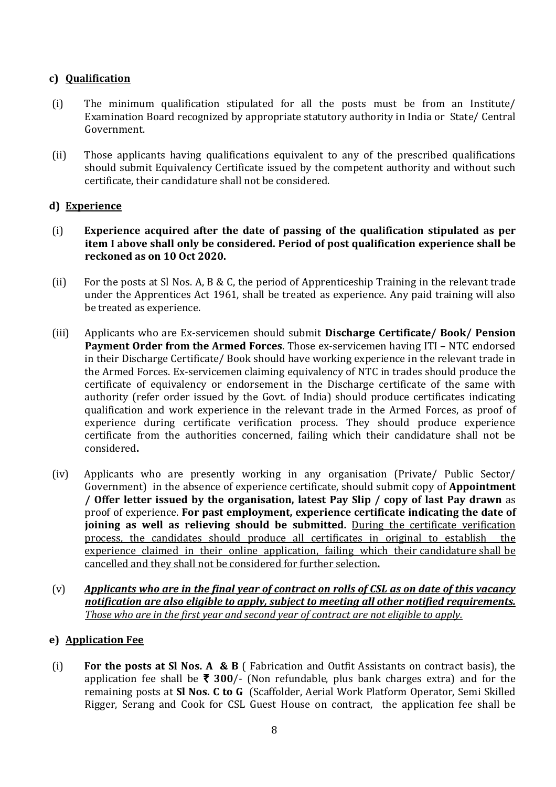## c) Qualification

- (i) The minimum qualification stipulated for all the posts must be from an Institute/ Examination Board recognized by appropriate statutory authority in India or State/ Central Government.
- (ii) Those applicants having qualifications equivalent to any of the prescribed qualifications should submit Equivalency Certificate issued by the competent authority and without such certificate, their candidature shall not be considered.

### d) Experience

- (i) Experience acquired after the date of passing of the qualification stipulated as per item I above shall only be considered. Period of post qualification experience shall be reckoned as on 10 Oct 2020.
- (ii) For the posts at Sl Nos. A, B & C, the period of Apprenticeship Training in the relevant trade under the Apprentices Act 1961, shall be treated as experience. Any paid training will also be treated as experience.
- (iii) Applicants who are Ex-servicemen should submit Discharge Certificate/ Book/ Pension Payment Order from the Armed Forces. Those ex-servicemen having ITI – NTC endorsed in their Discharge Certificate/ Book should have working experience in the relevant trade in the Armed Forces. Ex-servicemen claiming equivalency of NTC in trades should produce the certificate of equivalency or endorsement in the Discharge certificate of the same with authority (refer order issued by the Govt. of India) should produce certificates indicating qualification and work experience in the relevant trade in the Armed Forces, as proof of experience during certificate verification process. They should produce experience certificate from the authorities concerned, failing which their candidature shall not be considered.
- (iv) Applicants who are presently working in any organisation (Private/ Public Sector/ Government) in the absence of experience certificate, should submit copy of Appointment / Offer letter issued by the organisation, latest Pay Slip / copy of last Pay drawn as proof of experience. For past employment, experience certificate indicating the date of joining as well as relieving should be submitted. During the certificate verification process, the candidates should produce all certificates in original to establish the experience claimed in their online application, failing which their candidature shall be cancelled and they shall not be considered for further selection.
- $(v)$  Applicants who are in the final year of contract on rolls of CSL as on date of this vacancy notification are also eligible to apply, subject to meeting all other notified requirements. Those who are in the first year and second year of contract are not eligible to apply.

## e) Application Fee

(i) For the posts at SI Nos. A & B (Fabrication and Outfit Assistants on contract basis), the application fee shall be  $\bar{\tau}$  300/- (Non refundable, plus bank charges extra) and for the remaining posts at Sl Nos. C to G (Scaffolder, Aerial Work Platform Operator, Semi Skilled Rigger, Serang and Cook for CSL Guest House on contract, the application fee shall be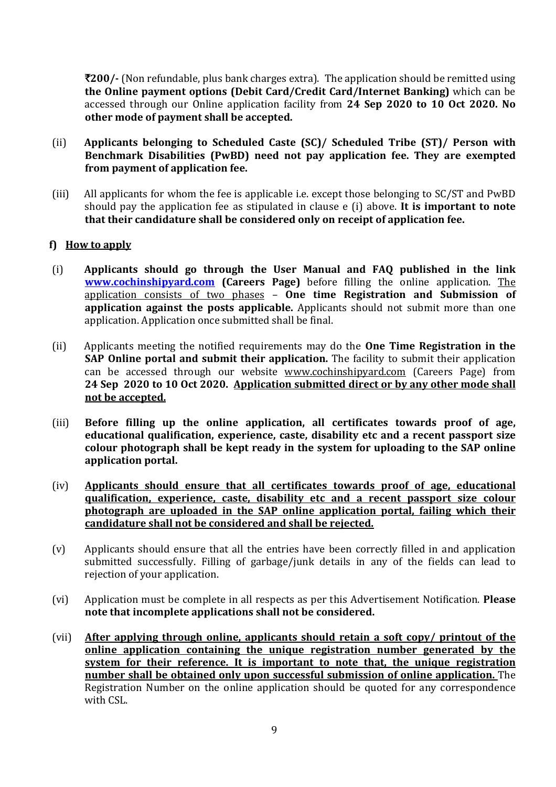$\overline{200/}$ - (Non refundable, plus bank charges extra). The application should be remitted using the Online payment options (Debit Card/Credit Card/Internet Banking) which can be accessed through our Online application facility from 24 Sep 2020 to 10 Oct 2020. No other mode of payment shall be accepted.

- (ii) Applicants belonging to Scheduled Caste (SC)/ Scheduled Tribe (ST)/ Person with Benchmark Disabilities (PwBD) need not pay application fee. They are exempted from payment of application fee.
- (iii) All applicants for whom the fee is applicable i.e. except those belonging to SC/ST and PwBD should pay the application fee as stipulated in clause e (i) above. It is important to note that their candidature shall be considered only on receipt of application fee.

## f) How to apply

- (i) Applicants should go through the User Manual and FAQ published in the link www.cochinshipyard.com (Careers Page) before filling the online application. The application consists of two phases – One time Registration and Submission of application against the posts applicable. Applicants should not submit more than one application. Application once submitted shall be final.
- (ii) Applicants meeting the notified requirements may do the One Time Registration in the SAP Online portal and submit their application. The facility to submit their application can be accessed through our website www.cochinshipyard.com (Careers Page) from 24 Sep 2020 to 10 Oct 2020. Application submitted direct or by any other mode shall not be accepted.
- (iii) Before filling up the online application, all certificates towards proof of age, educational qualification, experience, caste, disability etc and a recent passport size colour photograph shall be kept ready in the system for uploading to the SAP online application portal.
- (iv) Applicants should ensure that all certificates towards proof of age, educational qualification, experience, caste, disability etc and a recent passport size colour photograph are uploaded in the SAP online application portal, failing which their candidature shall not be considered and shall be rejected.
- (v) Applicants should ensure that all the entries have been correctly filled in and application submitted successfully. Filling of garbage/junk details in any of the fields can lead to rejection of your application.
- (vi) Application must be complete in all respects as per this Advertisement Notification. Please note that incomplete applications shall not be considered.
- (vii) After applying through online, applicants should retain a soft copy/ printout of the online application containing the unique registration number generated by the system for their reference. It is important to note that, the unique registration number shall be obtained only upon successful submission of online application. The Registration Number on the online application should be quoted for any correspondence with CSL.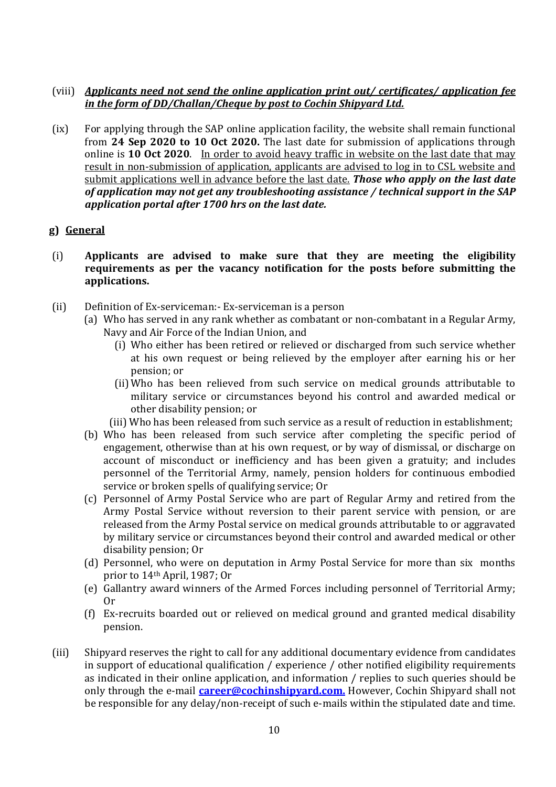## (viii) Applicants need not send the online application print out/ certificates/ application fee in the form of DD/Challan/Cheque by post to Cochin Shipyard Ltd.

(ix) For applying through the SAP online application facility, the website shall remain functional from  $24$  Sep 2020 to 10 Oct 2020. The last date for submission of applications through online is 10 Oct 2020. In order to avoid heavy traffic in website on the last date that may result in non-submission of application, applicants are advised to log in to CSL website and submit applications well in advance before the last date. Those who apply on the last date of application may not get any troubleshooting assistance / technical support in the SAP application portal after 1700 hrs on the last date.

## g) General

- (i) Applicants are advised to make sure that they are meeting the eligibility requirements as per the vacancy notification for the posts before submitting the applications.
- (ii) Definition of Ex-serviceman:- Ex-serviceman is a person
	- (a) Who has served in any rank whether as combatant or non-combatant in a Regular Army, Navy and Air Force of the Indian Union, and
		- (i) Who either has been retired or relieved or discharged from such service whether at his own request or being relieved by the employer after earning his or her pension; or
		- (ii) Who has been relieved from such service on medical grounds attributable to military service or circumstances beyond his control and awarded medical or other disability pension; or
		- (iii) Who has been released from such service as a result of reduction in establishment;
	- (b) Who has been released from such service after completing the specific period of engagement, otherwise than at his own request, or by way of dismissal, or discharge on account of misconduct or inefficiency and has been given a gratuity; and includes personnel of the Territorial Army, namely, pension holders for continuous embodied service or broken spells of qualifying service; Or
	- (c) Personnel of Army Postal Service who are part of Regular Army and retired from the Army Postal Service without reversion to their parent service with pension, or are released from the Army Postal service on medical grounds attributable to or aggravated by military service or circumstances beyond their control and awarded medical or other disability pension; Or
	- (d) Personnel, who were on deputation in Army Postal Service for more than six months prior to 14th April, 1987; Or
	- (e) Gallantry award winners of the Armed Forces including personnel of Territorial Army; Or
	- (f) Ex-recruits boarded out or relieved on medical ground and granted medical disability pension.
- (iii) Shipyard reserves the right to call for any additional documentary evidence from candidates in support of educational qualification / experience / other notified eligibility requirements as indicated in their online application, and information / replies to such queries should be only through the e-mail **career@cochinshipyard.com.** However, Cochin Shipyard shall not be responsible for any delay/non-receipt of such e-mails within the stipulated date and time.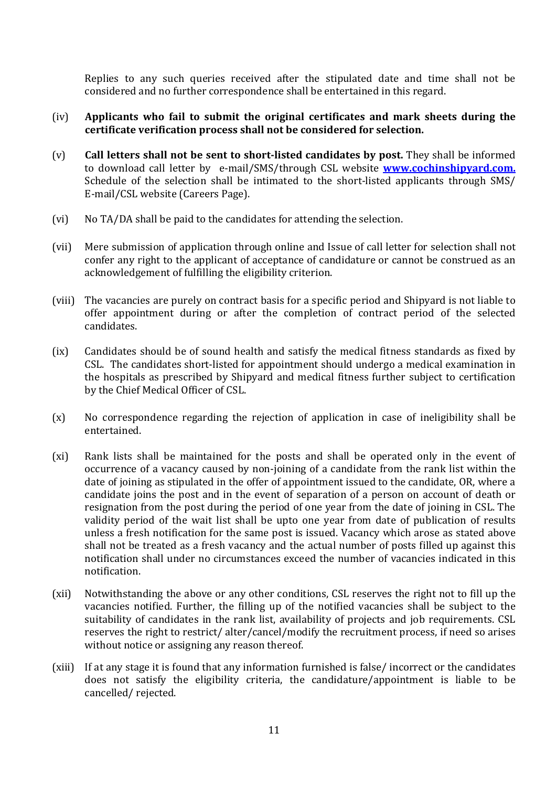Replies to any such queries received after the stipulated date and time shall not be considered and no further correspondence shall be entertained in this regard.

### (iv) Applicants who fail to submit the original certificates and mark sheets during the certificate verification process shall not be considered for selection.

- (v) Call letters shall not be sent to short-listed candidates by post. They shall be informed to download call letter by e-mail/SMS/through CSL website **www.cochinshipyard.com.** Schedule of the selection shall be intimated to the short-listed applicants through SMS/ E-mail/CSL website (Careers Page).
- (vi) No TA/DA shall be paid to the candidates for attending the selection.
- (vii) Mere submission of application through online and Issue of call letter for selection shall not confer any right to the applicant of acceptance of candidature or cannot be construed as an acknowledgement of fulfilling the eligibility criterion.
- (viii) The vacancies are purely on contract basis for a specific period and Shipyard is not liable to offer appointment during or after the completion of contract period of the selected candidates.
- (ix) Candidates should be of sound health and satisfy the medical fitness standards as fixed by CSL. The candidates short-listed for appointment should undergo a medical examination in the hospitals as prescribed by Shipyard and medical fitness further subject to certification by the Chief Medical Officer of CSL.
- (x) No correspondence regarding the rejection of application in case of ineligibility shall be entertained.
- (xi) Rank lists shall be maintained for the posts and shall be operated only in the event of occurrence of a vacancy caused by non-joining of a candidate from the rank list within the date of joining as stipulated in the offer of appointment issued to the candidate, OR, where a candidate joins the post and in the event of separation of a person on account of death or resignation from the post during the period of one year from the date of joining in CSL. The validity period of the wait list shall be upto one year from date of publication of results unless a fresh notification for the same post is issued. Vacancy which arose as stated above shall not be treated as a fresh vacancy and the actual number of posts filled up against this notification shall under no circumstances exceed the number of vacancies indicated in this notification.
- (xii) Notwithstanding the above or any other conditions, CSL reserves the right not to fill up the vacancies notified. Further, the filling up of the notified vacancies shall be subject to the suitability of candidates in the rank list, availability of projects and job requirements. CSL reserves the right to restrict/ alter/cancel/modify the recruitment process, if need so arises without notice or assigning any reason thereof.
- (xiii) If at any stage it is found that any information furnished is false/ incorrect or the candidates does not satisfy the eligibility criteria, the candidature/appointment is liable to be cancelled/ rejected.